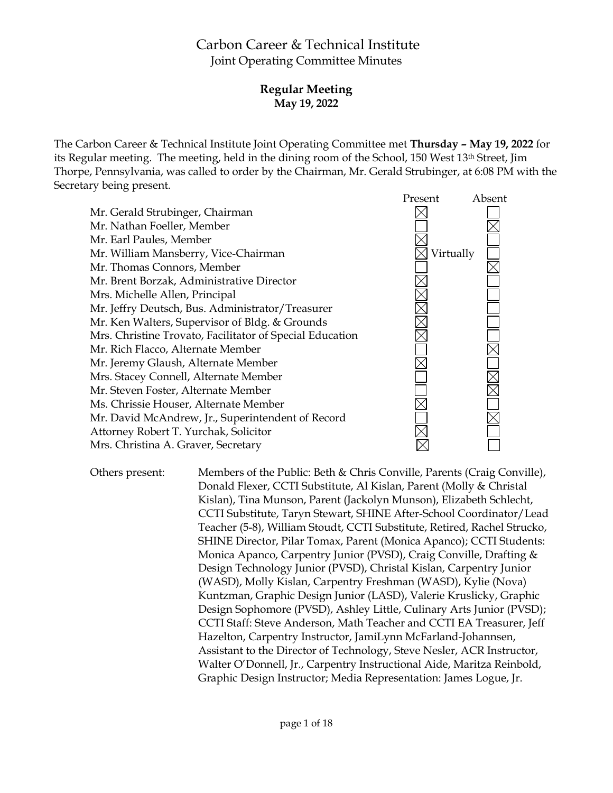# Carbon Career & Technical Institute Joint Operating Committee Minutes

# **Regular Meeting May 19, 2022**

The Carbon Career & Technical Institute Joint Operating Committee met **Thursday – May 19, 2022** for its Regular meeting. The meeting, held in the dining room of the School, 150 West 13th Street, Jim Thorpe, Pennsylvania, was called to order by the Chairman, Mr. Gerald Strubinger, at 6:08 PM with the Secretary being present.



Others present: Members of the Public: Beth & Chris Conville, Parents (Craig Conville), Donald Flexer, CCTI Substitute, Al Kislan, Parent (Molly & Christal Kislan), Tina Munson, Parent (Jackolyn Munson), Elizabeth Schlecht, CCTI Substitute, Taryn Stewart, SHINE After-School Coordinator/Lead Teacher (5-8), William Stoudt, CCTI Substitute, Retired, Rachel Strucko, SHINE Director, Pilar Tomax, Parent (Monica Apanco); CCTI Students: Monica Apanco, Carpentry Junior (PVSD), Craig Conville, Drafting & Design Technology Junior (PVSD), Christal Kislan, Carpentry Junior (WASD), Molly Kislan, Carpentry Freshman (WASD), Kylie (Nova) Kuntzman, Graphic Design Junior (LASD), Valerie Kruslicky, Graphic Design Sophomore (PVSD), Ashley Little, Culinary Arts Junior (PVSD); CCTI Staff: Steve Anderson, Math Teacher and CCTI EA Treasurer, Jeff Hazelton, Carpentry Instructor, JamiLynn McFarland-Johannsen, Assistant to the Director of Technology, Steve Nesler, ACR Instructor, Walter O'Donnell, Jr., Carpentry Instructional Aide, Maritza Reinbold, Graphic Design Instructor; Media Representation: James Logue, Jr.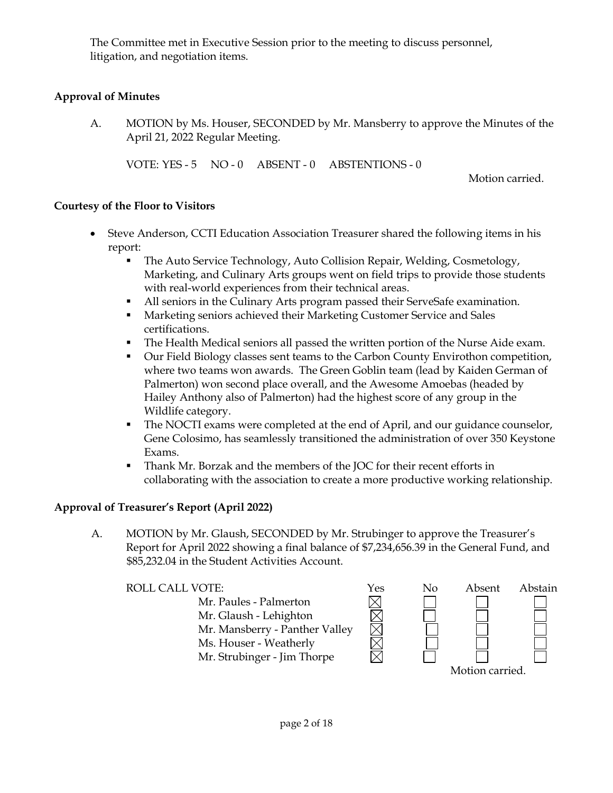The Committee met in Executive Session prior to the meeting to discuss personnel, litigation, and negotiation items.

# **Approval of Minutes**

A. MOTION by Ms. Houser, SECONDED by Mr. Mansberry to approve the Minutes of the April 21, 2022 Regular Meeting.

VOTE: YES - 5 NO - 0 ABSENT - 0 ABSTENTIONS - 0

Motion carried.

### **Courtesy of the Floor to Visitors**

- Steve Anderson, CCTI Education Association Treasurer shared the following items in his report:
	- The Auto Service Technology, Auto Collision Repair, Welding, Cosmetology, Marketing, and Culinary Arts groups went on field trips to provide those students with real-world experiences from their technical areas.
	- All seniors in the Culinary Arts program passed their ServeSafe examination.
	- **Marketing seniors achieved their Marketing Customer Service and Sales** certifications.
	- **The Health Medical seniors all passed the written portion of the Nurse Aide exam.**
	- Our Field Biology classes sent teams to the Carbon County Envirothon competition, where two teams won awards. The Green Goblin team (lead by Kaiden German of Palmerton) won second place overall, and the Awesome Amoebas (headed by Hailey Anthony also of Palmerton) had the highest score of any group in the Wildlife category.
	- The NOCTI exams were completed at the end of April, and our guidance counselor, Gene Colosimo, has seamlessly transitioned the administration of over 350 Keystone Exams.
	- Thank Mr. Borzak and the members of the JOC for their recent efforts in collaborating with the association to create a more productive working relationship.

MMMMM

# **Approval of Treasurer's Report (April 2022)**

A. MOTION by Mr. Glaush, SECONDED by Mr. Strubinger to approve the Treasurer's Report for April 2022 showing a final balance of \$7,234,656.39 in the General Fund, and \$85,232.04 in the Student Activities Account.

Mr. Paules - Palmerton Mr. Glaush - Lehighton Mr. Mansberry - Panther Valley Ms. Houser - Weatherly Mr. Strubinger - Jim Thorpe

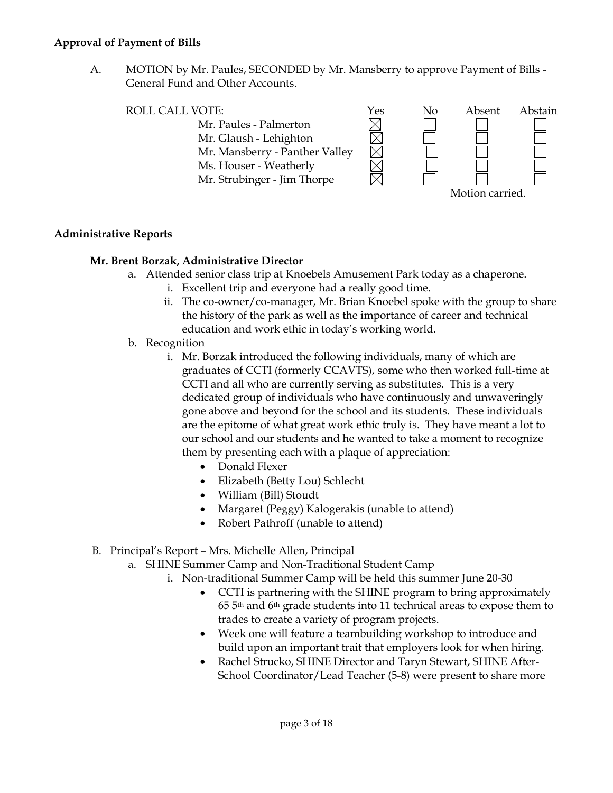#### **Approval of Payment of Bills**

A. MOTION by Mr. Paules, SECONDED by Mr. Mansberry to approve Payment of Bills - General Fund and Other Accounts.



### **Administrative Reports**

### **Mr. Brent Borzak, Administrative Director**

- a. Attended senior class trip at Knoebels Amusement Park today as a chaperone.
	- i. Excellent trip and everyone had a really good time.
	- ii. The co-owner/co-manager, Mr. Brian Knoebel spoke with the group to share the history of the park as well as the importance of career and technical education and work ethic in today's working world.
- b. Recognition
	- i. Mr. Borzak introduced the following individuals, many of which are graduates of CCTI (formerly CCAVTS), some who then worked full-time at CCTI and all who are currently serving as substitutes. This is a very dedicated group of individuals who have continuously and unwaveringly gone above and beyond for the school and its students. These individuals are the epitome of what great work ethic truly is. They have meant a lot to our school and our students and he wanted to take a moment to recognize them by presenting each with a plaque of appreciation:
		- Donald Flexer
		- Elizabeth (Betty Lou) Schlecht
		- William (Bill) Stoudt
		- Margaret (Peggy) Kalogerakis (unable to attend)
		- Robert Pathroff (unable to attend)
- B. Principal's Report Mrs. Michelle Allen, Principal
	- a. SHINE Summer Camp and Non-Traditional Student Camp
		- i. Non-traditional Summer Camp will be held this summer June 20-30
			- CCTI is partnering with the SHINE program to bring approximately 65 5th and 6th grade students into 11 technical areas to expose them to trades to create a variety of program projects.
			- Week one will feature a teambuilding workshop to introduce and build upon an important trait that employers look for when hiring.
			- Rachel Strucko, SHINE Director and Taryn Stewart, SHINE After-School Coordinator/Lead Teacher (5-8) were present to share more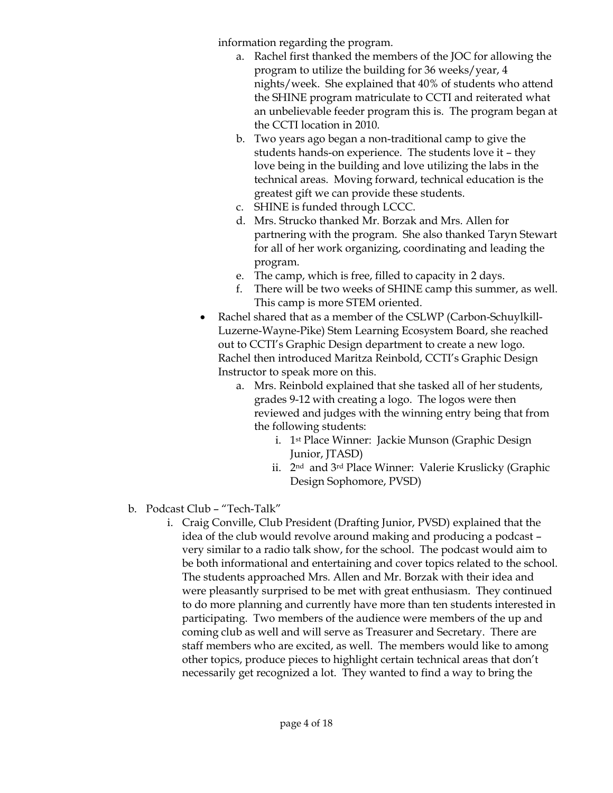information regarding the program.

- a. Rachel first thanked the members of the JOC for allowing the program to utilize the building for 36 weeks/year, 4 nights/week. She explained that 40% of students who attend the SHINE program matriculate to CCTI and reiterated what an unbelievable feeder program this is. The program began at the CCTI location in 2010.
- b. Two years ago began a non-traditional camp to give the students hands-on experience. The students love it – they love being in the building and love utilizing the labs in the technical areas. Moving forward, technical education is the greatest gift we can provide these students.
- c. SHINE is funded through LCCC.
- d. Mrs. Strucko thanked Mr. Borzak and Mrs. Allen for partnering with the program. She also thanked Taryn Stewart for all of her work organizing, coordinating and leading the program.
- e. The camp, which is free, filled to capacity in 2 days.
- f. There will be two weeks of SHINE camp this summer, as well. This camp is more STEM oriented.
- Rachel shared that as a member of the CSLWP (Carbon-Schuylkill-Luzerne-Wayne-Pike) Stem Learning Ecosystem Board, she reached out to CCTI's Graphic Design department to create a new logo. Rachel then introduced Maritza Reinbold, CCTI's Graphic Design Instructor to speak more on this.
	- a. Mrs. Reinbold explained that she tasked all of her students, grades 9-12 with creating a logo. The logos were then reviewed and judges with the winning entry being that from the following students:
		- i. 1st Place Winner: Jackie Munson (Graphic Design Junior, *JTASD*)
		- ii. 2nd and 3rd Place Winner: Valerie Kruslicky (Graphic Design Sophomore, PVSD)
- b. Podcast Club "Tech-Talk"
	- i. Craig Conville, Club President (Drafting Junior, PVSD) explained that the idea of the club would revolve around making and producing a podcast – very similar to a radio talk show, for the school. The podcast would aim to be both informational and entertaining and cover topics related to the school. The students approached Mrs. Allen and Mr. Borzak with their idea and were pleasantly surprised to be met with great enthusiasm. They continued to do more planning and currently have more than ten students interested in participating. Two members of the audience were members of the up and coming club as well and will serve as Treasurer and Secretary. There are staff members who are excited, as well. The members would like to among other topics, produce pieces to highlight certain technical areas that don't necessarily get recognized a lot. They wanted to find a way to bring the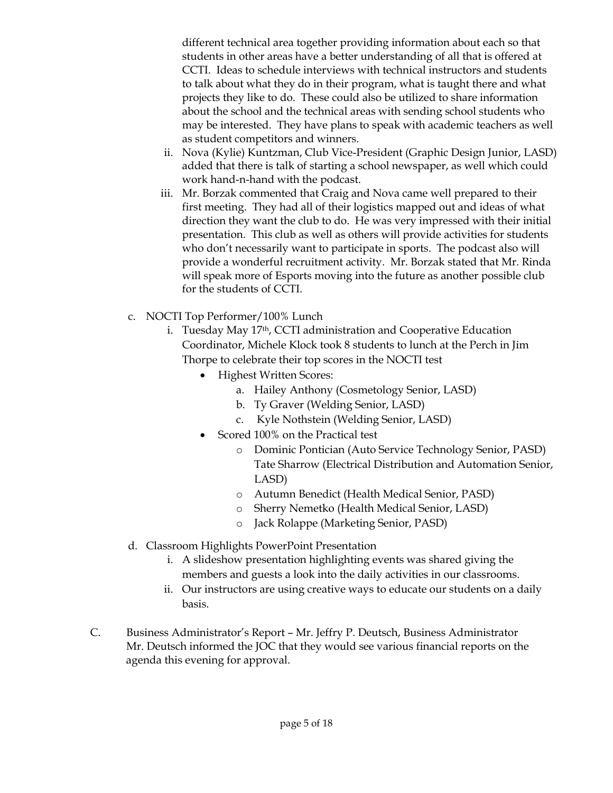different technical area together providing information about each so that students in other areas have a better understanding of all that is offered at CCTI. Ideas to schedule interviews with technical instructors and students to talk about what they do in their program, what is taught there and what projects they like to do. These could also be utilized to share information about the school and the technical areas with sending school students who may be interested. They have plans to speak with academic teachers as well as student competitors and winners.

- ii. Nova (Kylie) Kuntzman, Club Vice-President (Graphic Design Junior, LASD) added that there is talk of starting a school newspaper, as well which could work hand-n-hand with the podcast.
- iii. Mr. Borzak commented that Craig and Nova came well prepared to their first meeting. They had all of their logistics mapped out and ideas of what direction they want the club to do. He was very impressed with their initial presentation. This club as well as others will provide activities for students who don't necessarily want to participate in sports. The podcast also will provide a wonderful recruitment activity. Mr. Borzak stated that Mr. Rinda will speak more of Esports moving into the future as another possible club for the students of CCTI.
- c. NOCTI Top Performer/100% Lunch
	- i. Tuesday May 17th, CCTI administration and Cooperative Education Coordinator, Michele Klock took 8 students to lunch at the Perch in Jim Thorpe to celebrate their top scores in the NOCTI test
		- Highest Written Scores:
			- a. Hailey Anthony (Cosmetology Senior, LASD)
			- b. Ty Graver (Welding Senior, LASD)
			- c. Kyle Nothstein (Welding Senior, LASD)
		- Scored 100% on the Practical test
			- o Dominic Pontician (Auto Service Technology Senior, PASD) Tate Sharrow (Electrical Distribution and Automation Senior, LASD)
			- o Autumn Benedict (Health Medical Senior, PASD)
			- o Sherry Nemetko (Health Medical Senior, LASD)
			- o Jack Rolappe (Marketing Senior, PASD)
- d. Classroom Highlights PowerPoint Presentation
	- i. A slideshow presentation highlighting events was shared giving the members and guests a look into the daily activities in our classrooms.
	- ii. Our instructors are using creative ways to educate our students on a daily basis.
- C. Business Administrator's Report Mr. Jeffry P. Deutsch, Business Administrator Mr. Deutsch informed the JOC that they would see various financial reports on the agenda this evening for approval.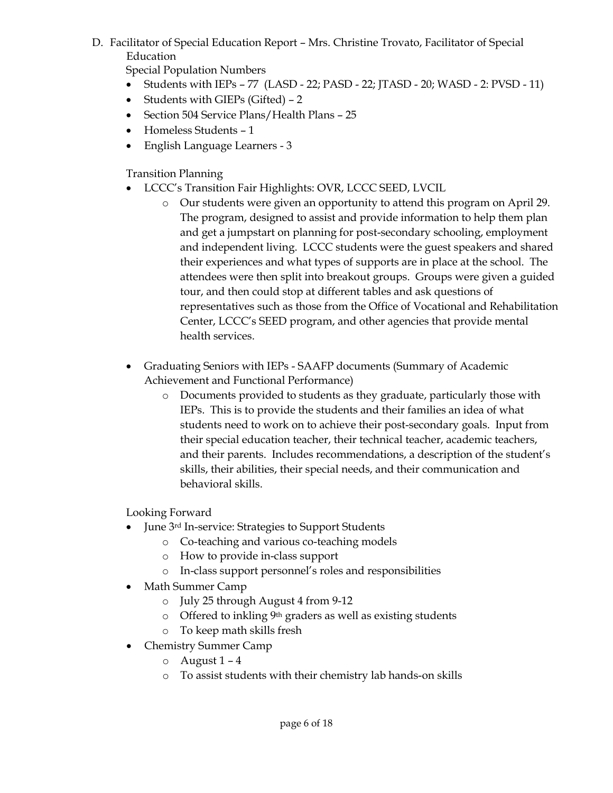D. Facilitator of Special Education Report – Mrs. Christine Trovato, Facilitator of Special Education

Special Population Numbers

- Students with  $IEPs 77$  (LASD 22; PASD 22; JTASD 20; WASD 2: PVSD 11)
- Students with GIEPs (Gifted) 2
- Section 504 Service Plans/Health Plans 25
- Homeless Students 1
- English Language Learners 3

Transition Planning

- LCCC's Transition Fair Highlights: OVR, LCCC SEED, LVCIL
	- o Our students were given an opportunity to attend this program on April 29. The program, designed to assist and provide information to help them plan and get a jumpstart on planning for post-secondary schooling, employment and independent living. LCCC students were the guest speakers and shared their experiences and what types of supports are in place at the school. The attendees were then split into breakout groups. Groups were given a guided tour, and then could stop at different tables and ask questions of representatives such as those from the Office of Vocational and Rehabilitation Center, LCCC's SEED program, and other agencies that provide mental health services.
- Graduating Seniors with IEPs SAAFP documents (Summary of Academic Achievement and Functional Performance)
	- o Documents provided to students as they graduate, particularly those with IEPs. This is to provide the students and their families an idea of what students need to work on to achieve their post-secondary goals. Input from their special education teacher, their technical teacher, academic teachers, and their parents. Includes recommendations, a description of the student's skills, their abilities, their special needs, and their communication and behavioral skills.

Looking Forward

- June 3<sup>rd</sup> In-service: Strategies to Support Students
	- o Co-teaching and various co-teaching models
	- o How to provide in-class support
	- o In-class support personnel's roles and responsibilities
- Math Summer Camp
	- o July 25 through August 4 from 9-12
	- o Offered to inkling 9th graders as well as existing students
	- o To keep math skills fresh
- Chemistry Summer Camp
	- $o$  August 1 4
	- o To assist students with their chemistry lab hands-on skills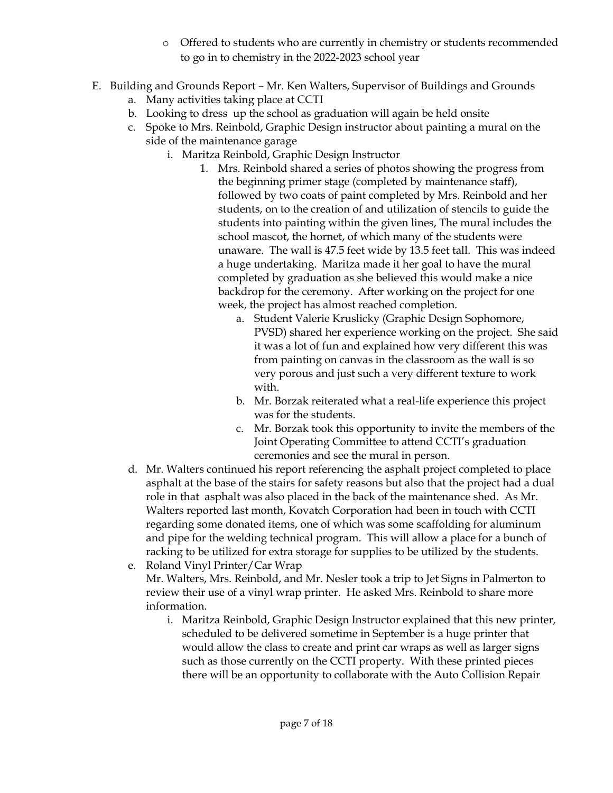- o Offered to students who are currently in chemistry or students recommended to go in to chemistry in the 2022-2023 school year
- E. Building and Grounds Report Mr. Ken Walters, Supervisor of Buildings and Grounds
	- a. Many activities taking place at CCTI
	- b. Looking to dress up the school as graduation will again be held onsite
	- c. Spoke to Mrs. Reinbold, Graphic Design instructor about painting a mural on the side of the maintenance garage
		- i. Maritza Reinbold, Graphic Design Instructor
			- 1. Mrs. Reinbold shared a series of photos showing the progress from the beginning primer stage (completed by maintenance staff), followed by two coats of paint completed by Mrs. Reinbold and her students, on to the creation of and utilization of stencils to guide the students into painting within the given lines, The mural includes the school mascot, the hornet, of which many of the students were unaware. The wall is 47.5 feet wide by 13.5 feet tall. This was indeed a huge undertaking. Maritza made it her goal to have the mural completed by graduation as she believed this would make a nice backdrop for the ceremony. After working on the project for one week, the project has almost reached completion.
				- a. Student Valerie Kruslicky (Graphic Design Sophomore, PVSD) shared her experience working on the project. She said it was a lot of fun and explained how very different this was from painting on canvas in the classroom as the wall is so very porous and just such a very different texture to work with.
				- b. Mr. Borzak reiterated what a real-life experience this project was for the students.
				- c. Mr. Borzak took this opportunity to invite the members of the Joint Operating Committee to attend CCTI's graduation ceremonies and see the mural in person.
	- d. Mr. Walters continued his report referencing the asphalt project completed to place asphalt at the base of the stairs for safety reasons but also that the project had a dual role in that asphalt was also placed in the back of the maintenance shed. As Mr. Walters reported last month, Kovatch Corporation had been in touch with CCTI regarding some donated items, one of which was some scaffolding for aluminum and pipe for the welding technical program. This will allow a place for a bunch of racking to be utilized for extra storage for supplies to be utilized by the students.
	- e. Roland Vinyl Printer/Car Wrap Mr. Walters, Mrs. Reinbold, and Mr. Nesler took a trip to Jet Signs in Palmerton to review their use of a vinyl wrap printer. He asked Mrs. Reinbold to share more information.
		- i. Maritza Reinbold, Graphic Design Instructor explained that this new printer, scheduled to be delivered sometime in September is a huge printer that would allow the class to create and print car wraps as well as larger signs such as those currently on the CCTI property. With these printed pieces there will be an opportunity to collaborate with the Auto Collision Repair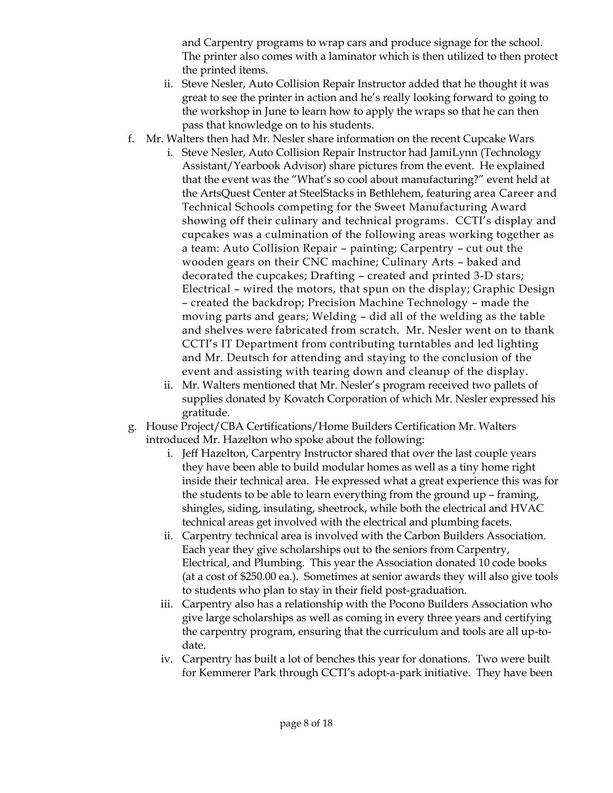and Carpentry programs to wrap cars and produce signage for the school. The printer also comes with a laminator which is then utilized to then protect the printed items.

- ii. Steve Nesler, Auto Collision Repair Instructor added that he thought it was great to see the printer in action and he's really looking forward to going to the workshop in June to learn how to apply the wraps so that he can then pass that knowledge on to his students.
- f. Mr. Walters then had Mr. Nesler share information on the recent Cupcake Wars
	- i. Steve Nesler, Auto Collision Repair Instructor had JamiLynn (Technology Assistant/Yearbook Advisor) share pictures from the event. He explained that the event was the "What's so cool about manufacturing?" event held at the ArtsQuest Center at SteelStacks in Bethlehem, featuring area Career and Technical Schools competing for the Sweet Manufacturing Award showing off their culinary and technical programs. CCTI's display and cupcakes was a culmination of the following areas working together as a team: Auto Collision Repair – painting; Carpentry – cut out the wooden gears on their CNC machine; Culinary Arts – baked and decorated the cupcakes; Drafting – created and printed 3-D stars; Electrical – wired the motors, that spun on the display; Graphic Design – created the backdrop; Precision Machine Technology – made the moving parts and gears; Welding – did all of the welding as the table and shelves were fabricated from scratch. Mr. Nesler went on to thank CCTI's IT Department from contributing turntables and led lighting and Mr. Deutsch for attending and staying to the conclusion of the event and assisting with tearing down and cleanup of the display.
	- ii. Mr. Walters mentioned that Mr. Nesler's program received two pallets of supplies donated by Kovatch Corporation of which Mr. Nesler expressed his gratitude.
- g. House Project/CBA Certifications/Home Builders Certification Mr. Walters introduced Mr. Hazelton who spoke about the following:
	- i. Jeff Hazelton, Carpentry Instructor shared that over the last couple years they have been able to build modular homes as well as a tiny home right inside their technical area. He expressed what a great experience this was for the students to be able to learn everything from the ground up – framing, shingles, siding, insulating, sheetrock, while both the electrical and HVAC technical areas get involved with the electrical and plumbing facets.
	- ii. Carpentry technical area is involved with the Carbon Builders Association. Each year they give scholarships out to the seniors from Carpentry, Electrical, and Plumbing. This year the Association donated 10 code books (at a cost of \$250.00 ea.). Sometimes at senior awards they will also give tools to students who plan to stay in their field post-graduation.
	- iii. Carpentry also has a relationship with the Pocono Builders Association who give large scholarships as well as coming in every three years and certifying the carpentry program, ensuring that the curriculum and tools are all up-todate.
	- iv. Carpentry has built a lot of benches this year for donations. Two were built for Kemmerer Park through CCTI's adopt-a-park initiative. They have been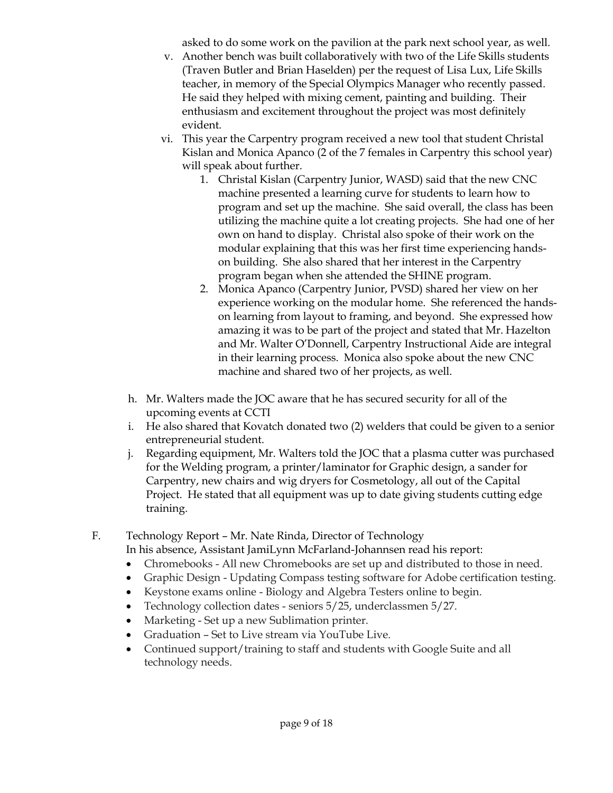asked to do some work on the pavilion at the park next school year, as well.

- v. Another bench was built collaboratively with two of the Life Skills students (Traven Butler and Brian Haselden) per the request of Lisa Lux, Life Skills teacher, in memory of the Special Olympics Manager who recently passed. He said they helped with mixing cement, painting and building. Their enthusiasm and excitement throughout the project was most definitely evident.
- vi. This year the Carpentry program received a new tool that student Christal Kislan and Monica Apanco (2 of the 7 females in Carpentry this school year) will speak about further.
	- 1. Christal Kislan (Carpentry Junior, WASD) said that the new CNC machine presented a learning curve for students to learn how to program and set up the machine. She said overall, the class has been utilizing the machine quite a lot creating projects. She had one of her own on hand to display. Christal also spoke of their work on the modular explaining that this was her first time experiencing handson building. She also shared that her interest in the Carpentry program began when she attended the SHINE program.
	- 2. Monica Apanco (Carpentry Junior, PVSD) shared her view on her experience working on the modular home. She referenced the handson learning from layout to framing, and beyond. She expressed how amazing it was to be part of the project and stated that Mr. Hazelton and Mr. Walter O'Donnell, Carpentry Instructional Aide are integral in their learning process. Monica also spoke about the new CNC machine and shared two of her projects, as well.
- h. Mr. Walters made the JOC aware that he has secured security for all of the upcoming events at CCTI
- i. He also shared that Kovatch donated two (2) welders that could be given to a senior entrepreneurial student.
- j. Regarding equipment, Mr. Walters told the JOC that a plasma cutter was purchased for the Welding program, a printer/laminator for Graphic design, a sander for Carpentry, new chairs and wig dryers for Cosmetology, all out of the Capital Project. He stated that all equipment was up to date giving students cutting edge training.
- F. Technology Report Mr. Nate Rinda, Director of Technology

In his absence, Assistant JamiLynn McFarland-Johannsen read his report:

- Chromebooks All new Chromebooks are set up and distributed to those in need.
- Graphic Design Updating Compass testing software for Adobe certification testing.
- Keystone exams online Biology and Algebra Testers online to begin.
- Technology collection dates seniors 5/25, underclassmen 5/27.
- Marketing Set up a new Sublimation printer.
- Graduation Set to Live stream via YouTube Live.
- Continued support/training to staff and students with Google Suite and all technology needs.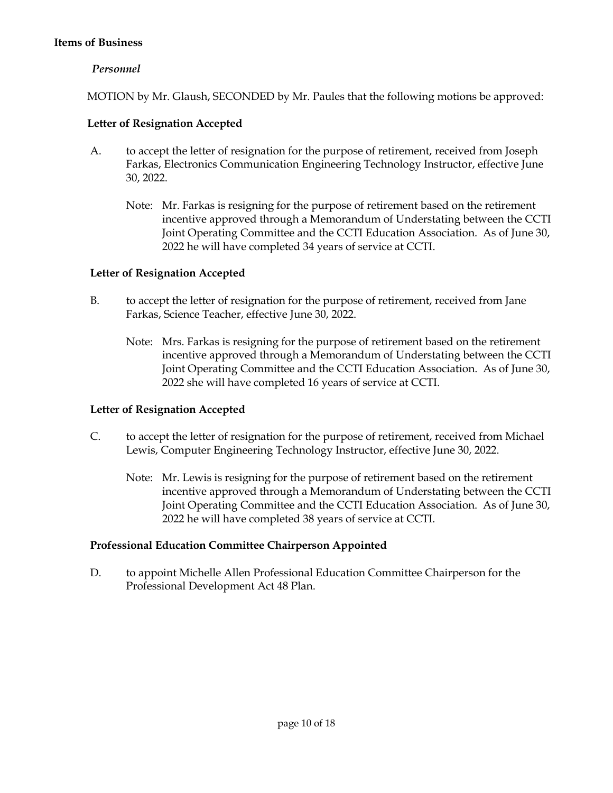#### **Items of Business**

# *Personnel*

MOTION by Mr. Glaush, SECONDED by Mr. Paules that the following motions be approved:

# **Letter of Resignation Accepted**

- A. to accept the letter of resignation for the purpose of retirement, received from Joseph Farkas, Electronics Communication Engineering Technology Instructor, effective June 30, 2022.
	- Note: Mr. Farkas is resigning for the purpose of retirement based on the retirement incentive approved through a Memorandum of Understating between the CCTI Joint Operating Committee and the CCTI Education Association. As of June 30, 2022 he will have completed 34 years of service at CCTI.

# **Letter of Resignation Accepted**

- B. to accept the letter of resignation for the purpose of retirement, received from Jane Farkas, Science Teacher, effective June 30, 2022.
	- Note: Mrs. Farkas is resigning for the purpose of retirement based on the retirement incentive approved through a Memorandum of Understating between the CCTI Joint Operating Committee and the CCTI Education Association. As of June 30, 2022 she will have completed 16 years of service at CCTI.

# **Letter of Resignation Accepted**

- C. to accept the letter of resignation for the purpose of retirement, received from Michael Lewis, Computer Engineering Technology Instructor, effective June 30, 2022.
	- Note: Mr. Lewis is resigning for the purpose of retirement based on the retirement incentive approved through a Memorandum of Understating between the CCTI Joint Operating Committee and the CCTI Education Association. As of June 30, 2022 he will have completed 38 years of service at CCTI.

# **Professional Education Committee Chairperson Appointed**

D. to appoint Michelle Allen Professional Education Committee Chairperson for the Professional Development Act 48 Plan.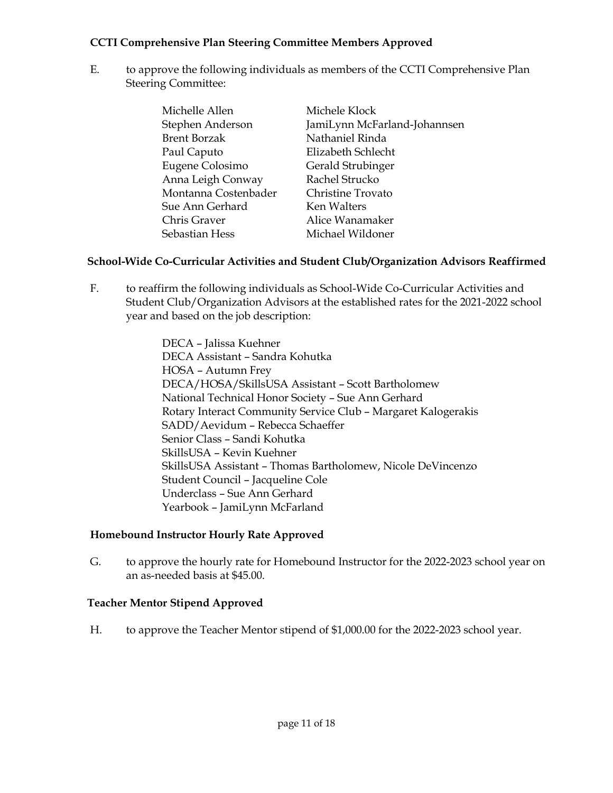### **CCTI Comprehensive Plan Steering Committee Members Approved**

E. to approve the following individuals as members of the CCTI Comprehensive Plan Steering Committee:

| Michelle Allen       | Michele Klock                |
|----------------------|------------------------------|
| Stephen Anderson     | JamiLynn McFarland-Johannsen |
| <b>Brent Borzak</b>  | Nathaniel Rinda              |
| Paul Caputo          | Elizabeth Schlecht           |
| Eugene Colosimo      | Gerald Strubinger            |
| Anna Leigh Conway    | Rachel Strucko               |
| Montanna Costenbader | Christine Trovato            |
| Sue Ann Gerhard      | Ken Walters                  |
| Chris Graver         | Alice Wanamaker              |
| Sebastian Hess       | Michael Wildoner             |

# **School-Wide Co-Curricular Activities and Student Club/Organization Advisors Reaffirmed**

F. to reaffirm the following individuals as School-Wide Co-Curricular Activities and Student Club/Organization Advisors at the established rates for the 2021-2022 school year and based on the job description:

> DECA – Jalissa Kuehner DECA Assistant – Sandra Kohutka HOSA – Autumn Frey DECA/HOSA/SkillsUSA Assistant – Scott Bartholomew National Technical Honor Society – Sue Ann Gerhard Rotary Interact Community Service Club – Margaret Kalogerakis SADD/Aevidum – Rebecca Schaeffer Senior Class – Sandi Kohutka SkillsUSA – Kevin Kuehner SkillsUSA Assistant – Thomas Bartholomew, Nicole DeVincenzo Student Council – Jacqueline Cole Underclass – Sue Ann Gerhard Yearbook – JamiLynn McFarland

# **Homebound Instructor Hourly Rate Approved**

G. to approve the hourly rate for Homebound Instructor for the 2022-2023 school year on an as-needed basis at \$45.00.

# **Teacher Mentor Stipend Approved**

H. to approve the Teacher Mentor stipend of \$1,000.00 for the 2022-2023 school year.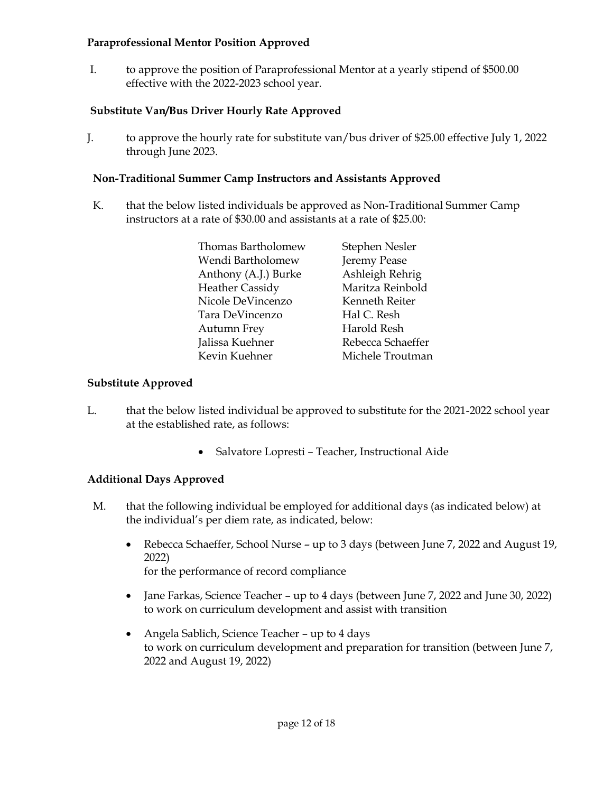### **Paraprofessional Mentor Position Approved**

I. to approve the position of Paraprofessional Mentor at a yearly stipend of \$500.00 effective with the 2022-2023 school year.

# **Substitute Van/Bus Driver Hourly Rate Approved**

J. to approve the hourly rate for substitute van/bus driver of \$25.00 effective July 1, 2022 through June 2023.

# **Non-Traditional Summer Camp Instructors and Assistants Approved**

K. that the below listed individuals be approved as Non-Traditional Summer Camp instructors at a rate of \$30.00 and assistants at a rate of \$25.00:

| Stephen Nesler    |
|-------------------|
| Jeremy Pease      |
| Ashleigh Rehrig   |
| Maritza Reinbold  |
| Kenneth Reiter    |
| Hal C. Resh       |
| Harold Resh       |
| Rebecca Schaeffer |
| Michele Troutman  |
|                   |

# **Substitute Approved**

- L. that the below listed individual be approved to substitute for the 2021-2022 school year at the established rate, as follows:
	- Salvatore Lopresti Teacher, Instructional Aide

# **Additional Days Approved**

- M. that the following individual be employed for additional days (as indicated below) at the individual's per diem rate, as indicated, below:
	- Rebecca Schaeffer, School Nurse up to 3 days (between June 7, 2022 and August 19, 2022) for the performance of record compliance
	- Jane Farkas, Science Teacher up to 4 days (between June 7, 2022 and June 30, 2022) to work on curriculum development and assist with transition
	- Angela Sablich, Science Teacher up to 4 days to work on curriculum development and preparation for transition (between June 7, 2022 and August 19, 2022)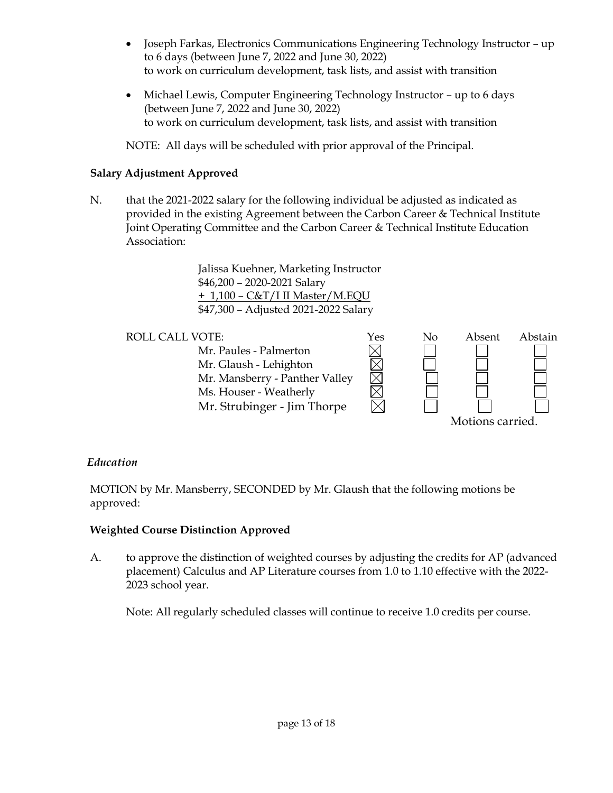- Joseph Farkas, Electronics Communications Engineering Technology Instructor up to 6 days (between June 7, 2022 and June 30, 2022) to work on curriculum development, task lists, and assist with transition
- Michael Lewis, Computer Engineering Technology Instructor up to 6 days (between June 7, 2022 and June 30, 2022) to work on curriculum development, task lists, and assist with transition

NOTE: All days will be scheduled with prior approval of the Principal.

# **Salary Adjustment Approved**

N. that the 2021-2022 salary for the following individual be adjusted as indicated as provided in the existing Agreement between the Carbon Career & Technical Institute Joint Operating Committee and the Carbon Career & Technical Institute Education Association:

> Jalissa Kuehner, Marketing Instructor \$46,200 – 2020-2021 Salary + 1,100 – C&T/I II Master/M.EQU \$47,300 – Adjusted 2021-2022 Salary



# *Education*

MOTION by Mr. Mansberry, SECONDED by Mr. Glaush that the following motions be approved:

# **Weighted Course Distinction Approved**

A. to approve the distinction of weighted courses by adjusting the credits for AP (advanced placement) Calculus and AP Literature courses from 1.0 to 1.10 effective with the 2022- 2023 school year.

Note: All regularly scheduled classes will continue to receive 1.0 credits per course.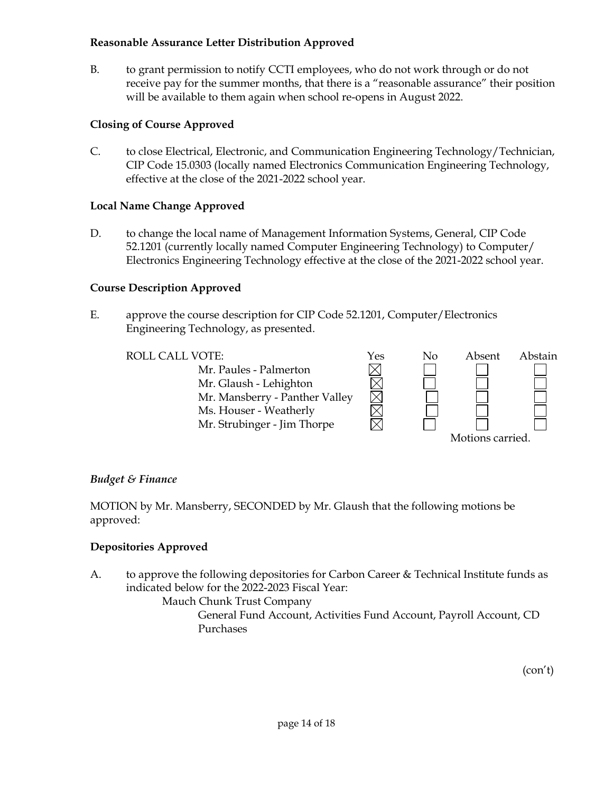#### **Reasonable Assurance Letter Distribution Approved**

B. to grant permission to notify CCTI employees, who do not work through or do not receive pay for the summer months, that there is a "reasonable assurance" their position will be available to them again when school re-opens in August 2022.

# **Closing of Course Approved**

C. to close Electrical, Electronic, and Communication Engineering Technology/Technician, CIP Code 15.0303 (locally named Electronics Communication Engineering Technology, effective at the close of the 2021-2022 school year.

# **Local Name Change Approved**

D. to change the local name of Management Information Systems, General, CIP Code 52.1201 (currently locally named Computer Engineering Technology) to Computer/ Electronics Engineering Technology effective at the close of the 2021-2022 school year.

# **Course Description Approved**

E. approve the course description for CIP Code 52.1201, Computer/Electronics Engineering Technology, as presented.



# *Budget & Finance*

MOTION by Mr. Mansberry, SECONDED by Mr. Glaush that the following motions be approved:

# **Depositories Approved**

A. to approve the following depositories for Carbon Career & Technical Institute funds as indicated below for the 2022-2023 Fiscal Year:

Mauch Chunk Trust Company

General Fund Account, Activities Fund Account, Payroll Account, CD Purchases

(con't)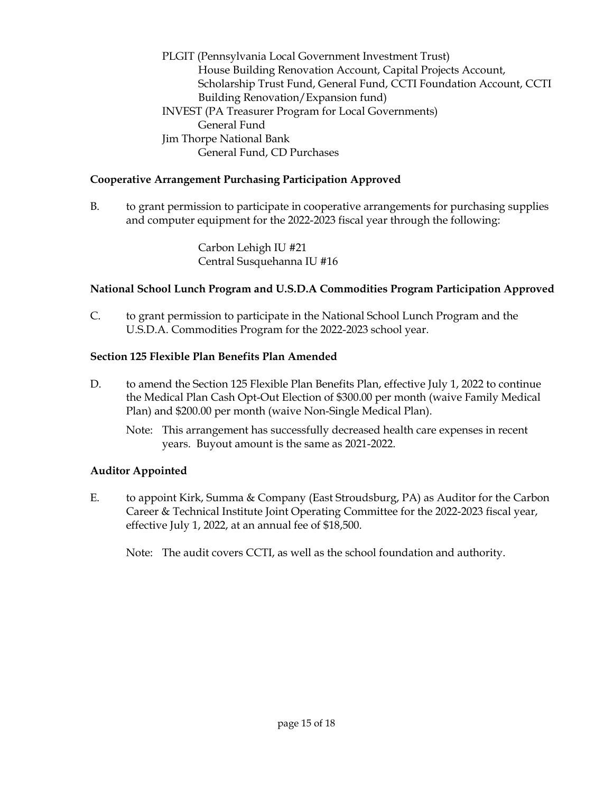PLGIT (Pennsylvania Local Government Investment Trust) House Building Renovation Account, Capital Projects Account, Scholarship Trust Fund, General Fund, CCTI Foundation Account, CCTI Building Renovation/Expansion fund) INVEST (PA Treasurer Program for Local Governments) General Fund Jim Thorpe National Bank General Fund, CD Purchases

# **Cooperative Arrangement Purchasing Participation Approved**

B. to grant permission to participate in cooperative arrangements for purchasing supplies and computer equipment for the 2022-2023 fiscal year through the following:

> Carbon Lehigh IU #21 Central Susquehanna IU #16

### **National School Lunch Program and U.S.D.A Commodities Program Participation Approved**

C. to grant permission to participate in the National School Lunch Program and the U.S.D.A. Commodities Program for the 2022-2023 school year.

#### **Section 125 Flexible Plan Benefits Plan Amended**

- D. to amend the Section 125 Flexible Plan Benefits Plan, effective July 1, 2022 to continue the Medical Plan Cash Opt-Out Election of \$300.00 per month (waive Family Medical Plan) and \$200.00 per month (waive Non-Single Medical Plan).
	- Note: This arrangement has successfully decreased health care expenses in recent years. Buyout amount is the same as 2021-2022.

# **Auditor Appointed**

E. to appoint Kirk, Summa & Company (East Stroudsburg, PA) as Auditor for the Carbon Career & Technical Institute Joint Operating Committee for the 2022-2023 fiscal year, effective July 1, 2022, at an annual fee of \$18,500.

Note: The audit covers CCTI, as well as the school foundation and authority.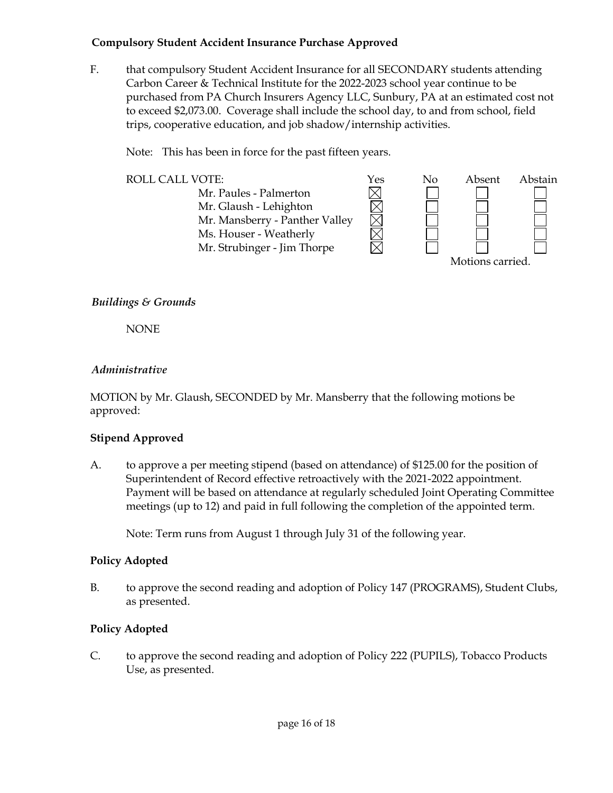### **Compulsory Student Accident Insurance Purchase Approved**

F. that compulsory Student Accident Insurance for all SECONDARY students attending Carbon Career & Technical Institute for the 2022-2023 school year continue to be purchased from PA Church Insurers Agency LLC, Sunbury, PA at an estimated cost not to exceed \$2,073.00. Coverage shall include the school day, to and from school, field trips, cooperative education, and job shadow/internship activities.

Note: This has been in force for the past fifteen years.



# *Buildings & Grounds*

NONE

# *Administrative*

MOTION by Mr. Glaush, SECONDED by Mr. Mansberry that the following motions be approved:

# **Stipend Approved**

A. to approve a per meeting stipend (based on attendance) of \$125.00 for the position of Superintendent of Record effective retroactively with the 2021-2022 appointment. Payment will be based on attendance at regularly scheduled Joint Operating Committee meetings (up to 12) and paid in full following the completion of the appointed term.

Note: Term runs from August 1 through July 31 of the following year.

# **Policy Adopted**

B. to approve the second reading and adoption of Policy 147 (PROGRAMS), Student Clubs, as presented.

# **Policy Adopted**

C. to approve the second reading and adoption of Policy 222 (PUPILS), Tobacco Products Use, as presented.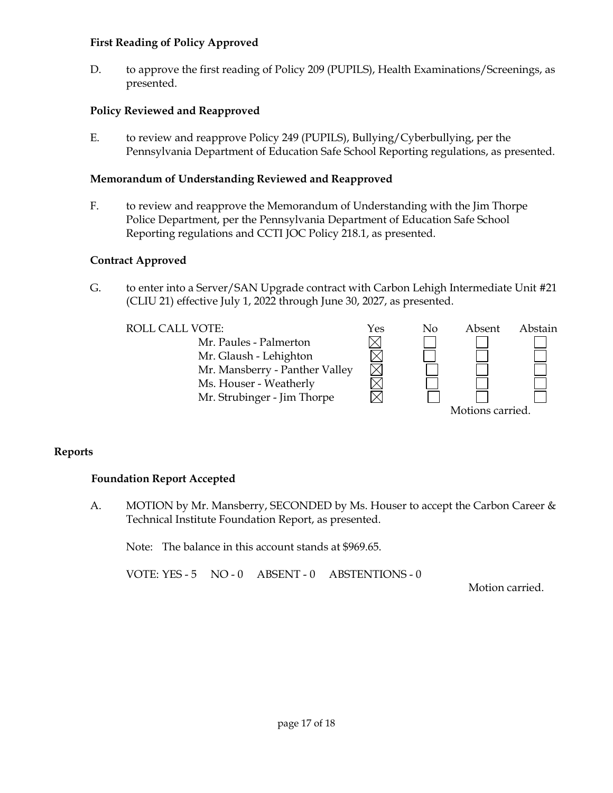#### **First Reading of Policy Approved**

D. to approve the first reading of Policy 209 (PUPILS), Health Examinations/Screenings, as presented.

# **Policy Reviewed and Reapproved**

E. to review and reapprove Policy 249 (PUPILS), Bullying/Cyberbullying, per the Pennsylvania Department of Education Safe School Reporting regulations, as presented.

# **Memorandum of Understanding Reviewed and Reapproved**

F. to review and reapprove the Memorandum of Understanding with the Jim Thorpe Police Department, per the Pennsylvania Department of Education Safe School Reporting regulations and CCTI JOC Policy 218.1, as presented.

### **Contract Approved**

G. to enter into a Server/SAN Upgrade contract with Carbon Lehigh Intermediate Unit #21 (CLIU 21) effective July 1, 2022 through June 30, 2027, as presented.



# **Reports**

# **Foundation Report Accepted**

A. MOTION by Mr. Mansberry, SECONDED by Ms. Houser to accept the Carbon Career & Technical Institute Foundation Report, as presented.

Note: The balance in this account stands at \$969.65.

VOTE: YES - 5 NO - 0 ABSENT - 0 ABSTENTIONS - 0

Motion carried.